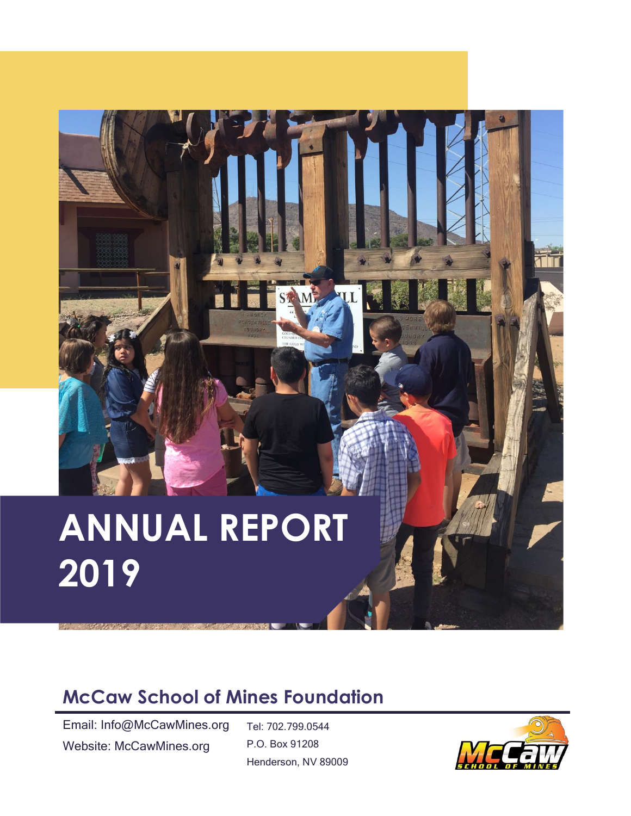# **ANNUAL REPORT 2019**

#### **McCaw School of Mines Foundation**

Email: Info@McCawMines.org Website: McCawMines.org

Tel: 702.799.0544 P.O. Box 91208 Henderson, NV 89009

STM

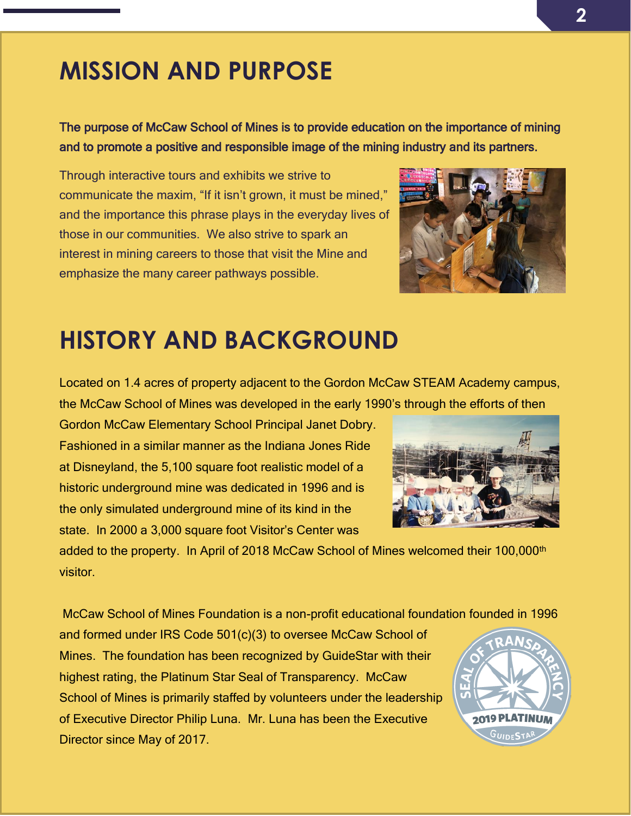### **MISSION AND PURPOSE**

The purpose of McCaw School of Mines is to provide education on the importance of mining and to promote a positive and responsible image of the mining industry and its partners.

Through interactive tours and exhibits we strive to communicate the maxim, "If it isn't grown, it must be mined," and the importance this phrase plays in the everyday lives of those in our communities. We also strive to spark an interest in mining careers to those that visit the Mine and emphasize the many career pathways possible.



#### **HISTORY AND BACKGROUND**

Located on 1.4 acres of property adjacent to the Gordon McCaw STEAM Academy campus, the McCaw School of Mines was developed in the early 1990's through the efforts of then

Gordon McCaw Elementary School Principal Janet Dobry. Fashioned in a similar manner as the Indiana Jones Ride at Disneyland, the 5,100 square foot realistic model of a historic underground mine was dedicated in 1996 and is the only simulated underground mine of its kind in the state. In 2000 a 3,000 square foot Visitor's Center was

added to the property. In April of 2018 McCaw School of Mines welcomed their 100,000<sup>th</sup> visitor.

McCaw School of Mines Foundation is a non-profit educational foundation founded in 1996

and formed under IRS Code 501(c)(3) to oversee McCaw School of Mines. The foundation has been recognized by GuideStar with their highest rating, the Platinum Star Seal of Transparency. McCaw School of Mines is primarily staffed by volunteers under the leadership of Executive Director Philip Luna. Mr. Luna has been the Executive Director since May of 2017.

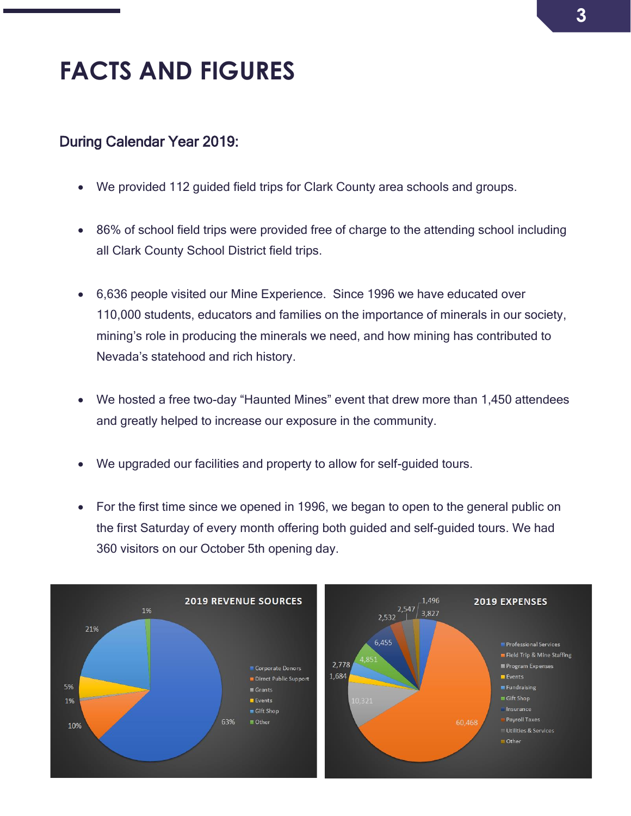## **FACTS AND FIGURES**

#### During Calendar Year 2019:

- We provided 112 guided field trips for Clark County area schools and groups.
- 86% of school field trips were provided free of charge to the attending school including all Clark County School District field trips.
- 6,636 people visited our Mine Experience. Since 1996 we have educated over 110,000 students, educators and families on the importance of minerals in our society, mining's role in producing the minerals we need, and how mining has contributed to Nevada's statehood and rich history.
- We hosted a free two-day "Haunted Mines" event that drew more than 1,450 attendees and greatly helped to increase our exposure in the community.
- We upgraded our facilities and property to allow for self-guided tours.
- For the first time since we opened in 1996, we began to open to the general public on the first Saturday of every month offering both guided and self-guided tours. We had 360 visitors on our October 5th opening day.